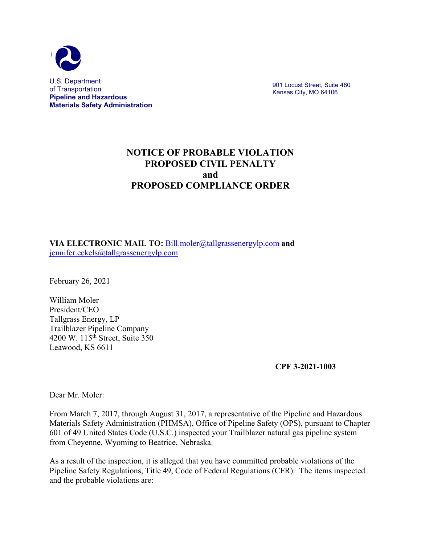

901 Locust Street, Suite 480 Kansas City, MO 64106

# **NOTICE OF PROBABLE VIOLATION PROPOSED CIVIL PENALTY and PROPOSED COMPLIANCE ORDER**

**VIA ELECTRONIC MAIL TO:** [Bill.moler@tallgrassenergylp.com](mailto:Bill.moler@tallgrassenergylp.com) **and**  [jennifer.eckels@tallgrassenergylp.com](mailto:jennifer.eckels@tallgrassenergylp.com)

February 26, 2021

William Moler President/CEO Tallgrass Energy, LP Trailblazer Pipeline Company 4200 W. 115th Street, Suite 350 Leawood, KS 6611

**CPF 3-2021-1003**

Dear Mr. Moler:

From March 7, 2017, through August 31, 2017, a representative of the Pipeline and Hazardous Materials Safety Administration (PHMSA), Office of Pipeline Safety (OPS), pursuant to Chapter 601 of 49 United States Code (U.S.C.) inspected your Trailblazer natural gas pipeline system from Cheyenne, Wyoming to Beatrice, Nebraska.

As a result of the inspection, it is alleged that you have committed probable violations of the Pipeline Safety Regulations, Title 49, Code of Federal Regulations (CFR). The items inspected and the probable violations are: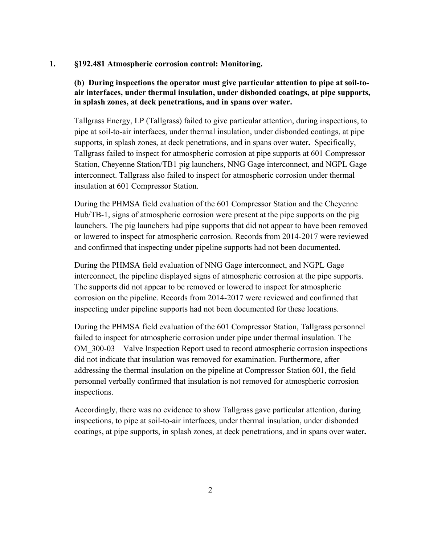#### **1. §192.481 Atmospheric corrosion control: Monitoring.**

# **(b) During inspections the operator must give particular attention to pipe at soil-toair interfaces, under thermal insulation, under disbonded coatings, at pipe supports, in splash zones, at deck penetrations, and in spans over water.**

Tallgrass Energy, LP (Tallgrass) failed to give particular attention, during inspections, to pipe at soil-to-air interfaces, under thermal insulation, under disbonded coatings, at pipe supports, in splash zones, at deck penetrations, and in spans over water**.** Specifically, Tallgrass failed to inspect for atmospheric corrosion at pipe supports at 601 Compressor Station, Cheyenne Station/TB1 pig launchers, NNG Gage interconnect, and NGPL Gage interconnect. Tallgrass also failed to inspect for atmospheric corrosion under thermal insulation at 601 Compressor Station.

During the PHMSA field evaluation of the 601 Compressor Station and the Cheyenne Hub/TB-1, signs of atmospheric corrosion were present at the pipe supports on the pig launchers. The pig launchers had pipe supports that did not appear to have been removed or lowered to inspect for atmospheric corrosion. Records from 2014-2017 were reviewed and confirmed that inspecting under pipeline supports had not been documented.

During the PHMSA field evaluation of NNG Gage interconnect, and NGPL Gage interconnect, the pipeline displayed signs of atmospheric corrosion at the pipe supports. The supports did not appear to be removed or lowered to inspect for atmospheric corrosion on the pipeline. Records from 2014-2017 were reviewed and confirmed that inspecting under pipeline supports had not been documented for these locations.

During the PHMSA field evaluation of the 601 Compressor Station, Tallgrass personnel failed to inspect for atmospheric corrosion under pipe under thermal insulation. The OM\_300-03 – Valve Inspection Report used to record atmospheric corrosion inspections did not indicate that insulation was removed for examination. Furthermore, after addressing the thermal insulation on the pipeline at Compressor Station 601, the field personnel verbally confirmed that insulation is not removed for atmospheric corrosion inspections.

Accordingly, there was no evidence to show Tallgrass gave particular attention, during inspections, to pipe at soil-to-air interfaces, under thermal insulation, under disbonded coatings, at pipe supports, in splash zones, at deck penetrations, and in spans over water**.**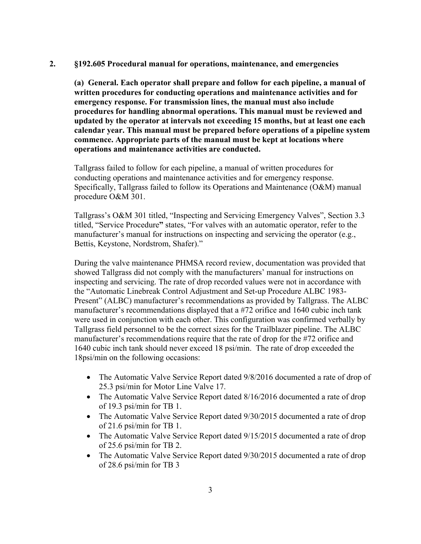#### **2. §192.605 Procedural manual for operations, maintenance, and emergencies**

**(a) General. Each operator shall prepare and follow for each pipeline, a manual of written procedures for conducting operations and maintenance activities and for emergency response. For transmission lines, the manual must also include procedures for handling abnormal operations. This manual must be reviewed and updated by the operator at intervals not exceeding 15 months, but at least one each calendar year. This manual must be prepared before operations of a pipeline system commence. Appropriate parts of the manual must be kept at locations where operations and maintenance activities are conducted.**

Tallgrass failed to follow for each pipeline, a manual of written procedures for conducting operations and maintenance activities and for emergency response. Specifically, Tallgrass failed to follow its Operations and Maintenance (O&M) manual procedure O&M 301.

Tallgrass's O&M 301 titled, "Inspecting and Servicing Emergency Valves", Section 3.3 titled, "Service Procedure**"** states, "For valves with an automatic operator, refer to the manufacturer's manual for instructions on inspecting and servicing the operator (e.g., Bettis, Keystone, Nordstrom, Shafer)."

During the valve maintenance PHMSA record review, documentation was provided that showed Tallgrass did not comply with the manufacturers' manual for instructions on inspecting and servicing. The rate of drop recorded values were not in accordance with the "Automatic Linebreak Control Adjustment and Set-up Procedure ALBC 1983- Present" (ALBC) manufacturer's recommendations as provided by Tallgrass. The ALBC manufacturer's recommendations displayed that a #72 orifice and 1640 cubic inch tank were used in conjunction with each other. This configuration was confirmed verbally by Tallgrass field personnel to be the correct sizes for the Trailblazer pipeline. The ALBC manufacturer's recommendations require that the rate of drop for the #72 orifice and 1640 cubic inch tank should never exceed 18 psi/min. The rate of drop exceeded the 18psi/min on the following occasions:

- The Automatic Valve Service Report dated  $9/8/2016$  documented a rate of drop of 25.3 psi/min for Motor Line Valve 17.
- The Automatic Valve Service Report dated 8/16/2016 documented a rate of drop of 19.3 psi/min for TB 1.
- The Automatic Valve Service Report dated 9/30/2015 documented a rate of drop of 21.6 psi/min for TB 1.
- The Automatic Valve Service Report dated 9/15/2015 documented a rate of drop of 25.6 psi/min for TB 2.
- The Automatic Valve Service Report dated 9/30/2015 documented a rate of drop of 28.6 psi/min for TB 3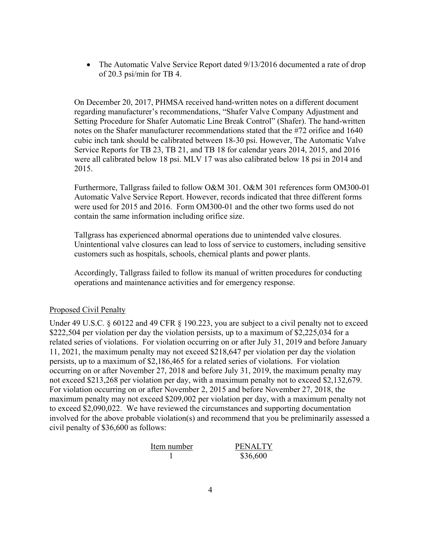• The Automatic Valve Service Report dated 9/13/2016 documented a rate of drop of 20.3 psi/min for TB 4.

On December 20, 2017, PHMSA received hand-written notes on a different document regarding manufacturer's recommendations, "Shafer Valve Company Adjustment and Setting Procedure for Shafer Automatic Line Break Control" (Shafer). The hand-written notes on the Shafer manufacturer recommendations stated that the #72 orifice and 1640 cubic inch tank should be calibrated between 18-30 psi. However, The Automatic Valve Service Reports for TB 23, TB 21, and TB 18 for calendar years 2014, 2015, and 2016 were all calibrated below 18 psi. MLV 17 was also calibrated below 18 psi in 2014 and 2015.

Furthermore, Tallgrass failed to follow O&M 301. O&M 301 references form OM300-01 Automatic Valve Service Report. However, records indicated that three different forms were used for 2015 and 2016. Form OM300-01 and the other two forms used do not contain the same information including orifice size.

Tallgrass has experienced abnormal operations due to unintended valve closures. Unintentional valve closures can lead to loss of service to customers, including sensitive customers such as hospitals, schools, chemical plants and power plants.

Accordingly, Tallgrass failed to follow its manual of written procedures for conducting operations and maintenance activities and for emergency response.

## Proposed Civil Penalty

Under 49 U.S.C. § 60122 and 49 CFR § 190.223, you are subject to a civil penalty not to exceed \$222,504 per violation per day the violation persists, up to a maximum of \$2,225,034 for a related series of violations. For violation occurring on or after July 31, 2019 and before January 11, 2021, the maximum penalty may not exceed \$218,647 per violation per day the violation persists, up to a maximum of \$2,186,465 for a related series of violations. For violation occurring on or after November 27, 2018 and before July 31, 2019, the maximum penalty may not exceed \$213,268 per violation per day, with a maximum penalty not to exceed \$2,132,679. For violation occurring on or after November 2, 2015 and before November 27, 2018, the maximum penalty may not exceed \$209,002 per violation per day, with a maximum penalty not to exceed \$2,090,022. We have reviewed the circumstances and supporting documentation involved for the above probable violation(s) and recommend that you be preliminarily assessed a civil penalty of \$36,600 as follows:

| Item number | <b>PENALTY</b> |
|-------------|----------------|
|             | \$36,600       |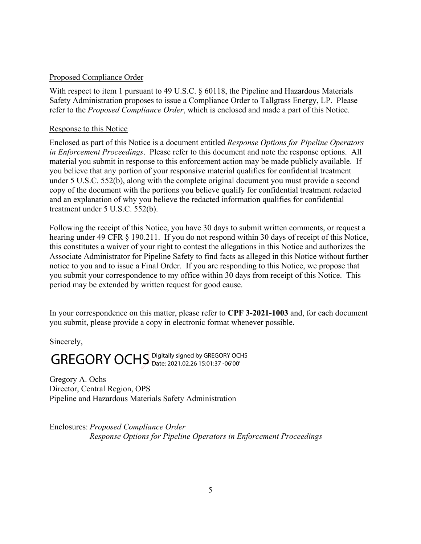## Proposed Compliance Order

With respect to item 1 pursuant to 49 U.S.C.  $\S$  60118, the Pipeline and Hazardous Materials Safety Administration proposes to issue a Compliance Order to Tallgrass Energy, LP. Please refer to the *Proposed Compliance Order*, which is enclosed and made a part of this Notice.

#### Response to this Notice

Enclosed as part of this Notice is a document entitled *Response Options for Pipeline Operators in Enforcement Proceedings*. Please refer to this document and note the response options. All material you submit in response to this enforcement action may be made publicly available. If you believe that any portion of your responsive material qualifies for confidential treatment under 5 U.S.C. 552(b), along with the complete original document you must provide a second copy of the document with the portions you believe qualify for confidential treatment redacted and an explanation of why you believe the redacted information qualifies for confidential treatment under 5 U.S.C. 552(b).

Following the receipt of this Notice, you have 30 days to submit written comments, or request a hearing under 49 CFR § 190.211. If you do not respond within 30 days of receipt of this Notice, this constitutes a waiver of your right to contest the allegations in this Notice and authorizes the Associate Administrator for Pipeline Safety to find facts as alleged in this Notice without further notice to you and to issue a Final Order. If you are responding to this Notice, we propose that you submit your correspondence to my office within 30 days from receipt of this Notice. This period may be extended by written request for good cause.

In your correspondence on this matter, please refer to **CPF 3-2021-1003** and, for each document you submit, please provide a copy in electronic format whenever possible.

Sincerely,

GREGORY OCHS<sup>Digitally signed by GREGORY OCHS</sup><br>Date: 2021.02.26 15:01:37 -06'00'

Gregory A. Ochs Director, Central Region, OPS Pipeline and Hazardous Materials Safety Administration

Enclosures: *Proposed Compliance Order Response Options for Pipeline Operators in Enforcement Proceedings*